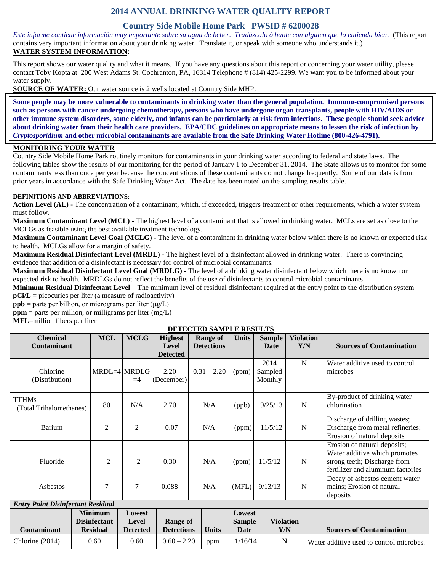# **2014 ANNUAL DRINKING WATER QUALITY REPORT**

## **Country Side Mobile Home Park PWSID # 6200028**

*Este informe contiene información muy importante sobre su agua de beber. Tradúzcalo ó hable con alguien que lo entienda bien.* (This report contains very important information about your drinking water. Translate it, or speak with someone who understands it.) **WATER SYSTEM INFORMATION:**

This report shows our water quality and what it means. If you have any questions about this report or concerning your water utility, please contact Toby Kopta at 200 West Adams St. Cochranton, PA, 16314 Telephone # (814) 425-2299. We want you to be informed about your water supply.

**SOURCE OF WATER:** Our water source is 2 wells located at Country Side MHP.

**Some people may be more vulnerable to contaminants in drinking water than the general population. Immuno-compromised persons such as persons with cancer undergoing chemotherapy, persons who have undergone organ transplants, people with HIV/AIDS or other immune system disorders, some elderly, and infants can be particularly at risk from infections. These people should seek advice about drinking water from their health care providers. EPA/CDC guidelines on appropriate means to lessen the risk of infection by**  *Cryptosporidium* **and other microbial contaminants are available from the Safe Drinking Water Hotline (800-426-4791).**

#### **MONITORING YOUR WATER**

Country Side Mobile Home Park routinely monitors for contaminants in your drinking water according to federal and state laws. The following tables show the results of our monitoring for the period of January 1 to December 31, 2014. The State allows us to monitor for some contaminants less than once per year because the concentrations of these contaminants do not change frequently. Some of our data is from prior years in accordance with the Safe Drinking Water Act. The date has been noted on the sampling results table.

#### **DEFINITIONS AND ABBREVIATIONS:**

**Action Level (AL) -** The concentration of a contaminant, which, if exceeded, triggers treatment or other requirements, which a water system must follow.

**Maximum Contaminant Level (MCL) -** The highest level of a contaminant that is allowed in drinking water. MCLs are set as close to the MCLGs as feasible using the best available treatment technology.

**Maximum Contaminant Level Goal (MCLG) -** The level of a contaminant in drinking water below which there is no known or expected risk to health. MCLGs allow for a margin of safety.

**Maximum Residual Disinfectant Level (MRDL) -** The highest level of a disinfectant allowed in drinking water. There is convincing evidence that addition of a disinfectant is necessary for control of microbial contaminants.

**Maximum Residual Disinfectant Level Goal (MRDLG) -** The level of a drinking water disinfectant below which there is no known or expected risk to health. MRDLGs do not reflect the benefits of the use of disinfectants to control microbial contaminants.

**Minimum Residual Disinfectant Level** – The minimum level of residual disinfectant required at the entry point to the distribution system **pCi/L** = picocuries per liter (a measure of radioactivity)

**ppb** = parts per billion, or micrograms per liter  $(\mu g/L)$ 

 $ppm$  = parts per million, or milligrams per liter (mg/L)

**MFL**=million fibers per liter

#### **DETECTED SAMPLE RESULTS**

| <b>Chemical</b><br><b>Contaminant</b>    | <b>MCL</b>                                               | <b>MCLG</b>                        | <b>Highest</b><br>Level              | <b>Range of</b><br><b>Detections</b> | <b>Units</b>                                  | <b>Sample</b><br>Date      | <b>Violation</b><br>Y/N | <b>Sources of Contamination</b>                                                                                                    |  |  |  |  |
|------------------------------------------|----------------------------------------------------------|------------------------------------|--------------------------------------|--------------------------------------|-----------------------------------------------|----------------------------|-------------------------|------------------------------------------------------------------------------------------------------------------------------------|--|--|--|--|
|                                          |                                                          |                                    | <b>Detected</b>                      |                                      |                                               |                            |                         |                                                                                                                                    |  |  |  |  |
| Chlorine<br>(Distribution)               |                                                          | MRDL=4 MRDLG<br>$=4$               | 2.20<br>(December)                   | $0.31 - 2.20$                        | (ppm)                                         | 2014<br>Sampled<br>Monthly | $\mathbf N$             | Water additive used to control<br>microbes                                                                                         |  |  |  |  |
| <b>TTHMs</b><br>(Total Trihalomethanes)  | 80                                                       | N/A                                | 2.70                                 | N/A                                  | (ppb)                                         | 9/25/13                    | $\mathbf N$             | By-product of drinking water<br>chlorination                                                                                       |  |  |  |  |
| <b>Barium</b>                            | $\mathfrak{2}$                                           | $\overline{c}$                     | 0.07                                 | N/A                                  | (ppm)                                         | 11/5/12                    | $\mathbf N$             | Discharge of drilling wastes;<br>Discharge from metal refineries;<br>Erosion of natural deposits                                   |  |  |  |  |
| Fluoride                                 | $\overline{2}$                                           | 2                                  | 0.30                                 | N/A                                  | (ppm)                                         | 11/5/12                    | N                       | Erosion of natural deposits;<br>Water additive which promotes<br>strong teeth; Discharge from<br>fertilizer and aluminum factories |  |  |  |  |
| Asbestos                                 | 7                                                        | 7                                  | 0.088                                | N/A                                  | (MFL)                                         | 9/13/13                    | N                       | Decay of asbestos cement water<br>mains; Erosion of natural<br>deposits                                                            |  |  |  |  |
| <b>Entry Point Disinfectant Residual</b> |                                                          |                                    |                                      |                                      |                                               |                            |                         |                                                                                                                                    |  |  |  |  |
| <b>Contaminant</b>                       | <b>Minimum</b><br><b>Disinfectant</b><br><b>Residual</b> | Lowest<br>Level<br><b>Detected</b> | <b>Range of</b><br><b>Detections</b> | <b>Units</b>                         | <b>Lowest</b><br><b>Sample</b><br><b>Date</b> |                            | <b>Violation</b><br>Y/N | <b>Sources of Contamination</b>                                                                                                    |  |  |  |  |
| Chlorine (2014)                          | 0.60                                                     | 0.60                               | $0.60 - 2.20$                        | ppm                                  | 1/16/14                                       |                            | N                       | Water additive used to control microbes.                                                                                           |  |  |  |  |